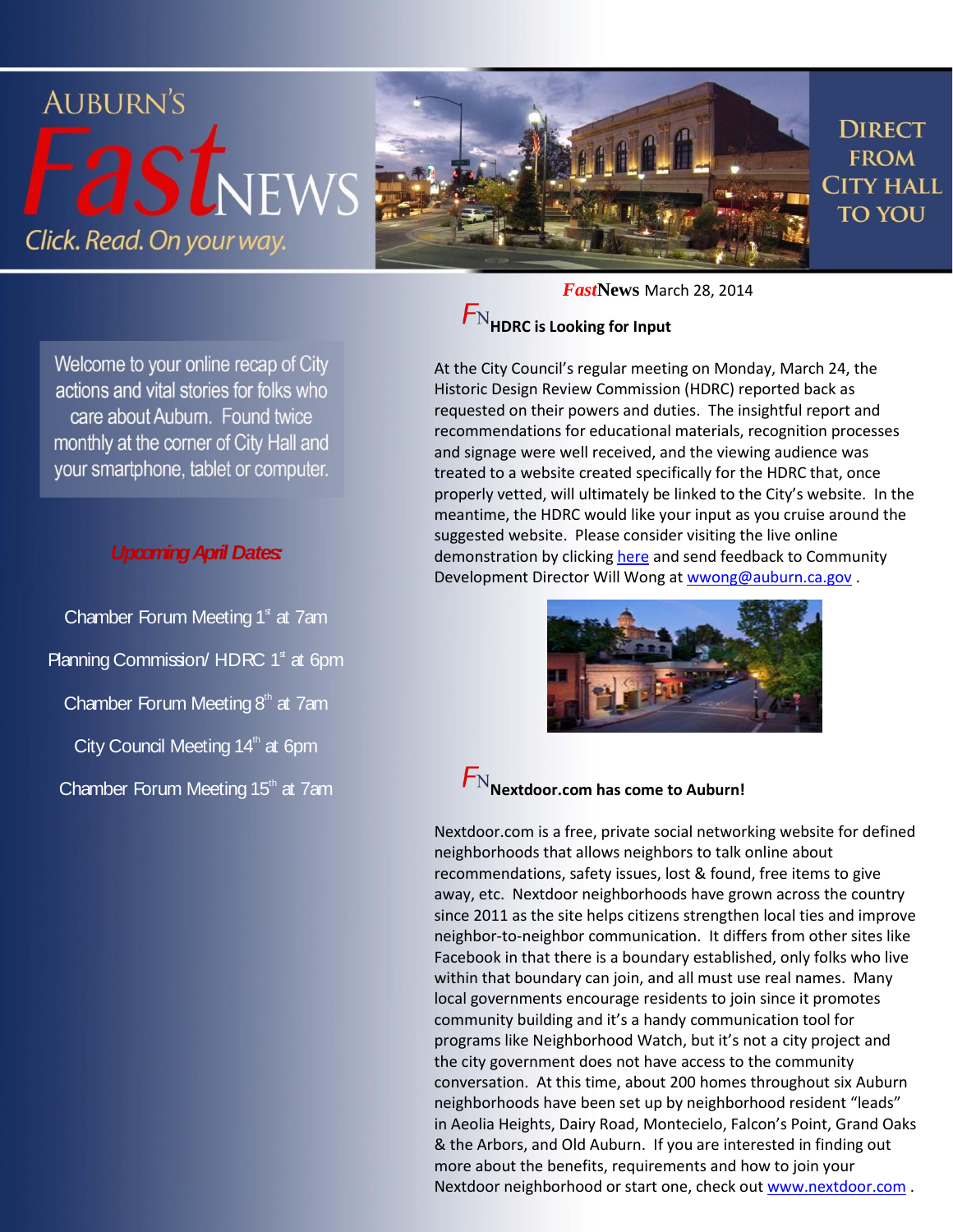

Welcome to your online recap of City actions and vital stories for folks who care about Auburn. Found twice monthly at the corner of City Hall and your smartphone, tablet or computer.

#### *Upcoming April Dates:*

Chamber Forum Meeting  $1<sup>s</sup>$  at 7am Planning Commission/ HDRC  $1<sup>s</sup>$  at 6pm Chamber Forum Meeting  $8<sup>th</sup>$  at 7am City Council Meeting  $14<sup>th</sup>$  at 6pm Chamber Forum Meeting 15<sup>th</sup> at 7am

*Fast***News** March 28, 2014

### **HDRC is Looking for Input**

At the City Council's regular meeting on Monday, March 24, the Historic Design Review Commission (HDRC) reported back as requested on their powers and duties. The insightful report and recommendations for educational materials, recognition processes and signage were well received, and the viewing audience was treated to a website created specifically for the HDRC that, once properly vetted, will ultimately be linked to the City's website. In the meantime, the HDRC would like your input as you cruise around the suggested website. Please consider visiting the live online demonstration by clicking [here](http://uncmgt.com/auburn/index.htm) and send feedback to Community Development Director Will Wong a[t wwong@auburn.ca.gov](mailto:wwong@auburn.ca.gov).



## $F_{\rm N}_{\rm Nextdoor.com}$  has come to Auburn!

Nextdoor.com is a free, private social networking website for defined neighborhoods that allows neighbors to talk online about recommendations, safety issues, lost & found, free items to give away, etc. Nextdoor neighborhoods have grown across the country since 2011 as the site helps citizens strengthen local ties and improve neighbor-to-neighbor communication. It differs from other sites like Facebook in that there is a boundary established, only folks who live within that boundary can join, and all must use real names. Many local governments encourage residents to join since it promotes community building and it's a handy communication tool for programs like Neighborhood Watch, but it's not a city project and the city government does not have access to the community conversation. At this time, about 200 homes throughout six Auburn neighborhoods have been set up by neighborhood resident "leads" in Aeolia Heights, Dairy Road, Montecielo, Falcon's Point, Grand Oaks & the Arbors, and Old Auburn. If you are interested in finding out more about the benefits, requirements and how to join your Nextdoor neighborhood or start one, check out [www.nextdoor.com](http://www.nextdoor.com/) .